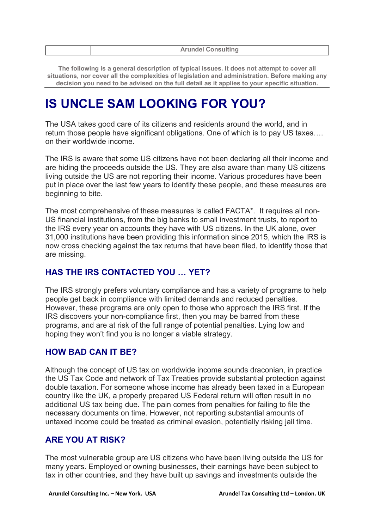| <b>Arundel Consulting</b> |
|---------------------------|
|                           |

**The following is a general description of typical issues. It does not attempt to cover all situations, nor cover all the complexities of legislation and administration. Before making any decision you need to be advised on the full detail as it applies to your specific situation.**

# **IS UNCLE SAM LOOKING FOR YOU?**

The USA takes good care of its citizens and residents around the world, and in return those people have significant obligations. One of which is to pay US taxes…. on their worldwide income.

The IRS is aware that some US citizens have not been declaring all their income and are hiding the proceeds outside the US. They are also aware than many US citizens living outside the US are not reporting their income. Various procedures have been put in place over the last few years to identify these people, and these measures are beginning to bite.

The most comprehensive of these measures is called FACTA\*. It requires all non-US financial institutions, from the big banks to small investment trusts, to report to the IRS every year on accounts they have with US citizens. In the UK alone, over 31,000 institutions have been providing this information since 2015, which the IRS is now cross checking against the tax returns that have been filed, to identify those that are missing.

# **HAS THE IRS CONTACTED YOU … YET?**

The IRS strongly prefers voluntary compliance and has a variety of programs to help people get back in compliance with limited demands and reduced penalties. However, these programs are only open to those who approach the IRS first. If the IRS discovers your non-compliance first, then you may be barred from these programs, and are at risk of the full range of potential penalties. Lying low and hoping they won't find you is no longer a viable strategy.

# **HOW BAD CAN IT BE?**

Although the concept of US tax on worldwide income sounds draconian, in practice the US Tax Code and network of Tax Treaties provide substantial protection against double taxation. For someone whose income has already been taxed in a European country like the UK, a properly prepared US Federal return will often result in no additional US tax being due. The pain comes from penalties for failing to file the necessary documents on time. However, not reporting substantial amounts of untaxed income could be treated as criminal evasion, potentially risking jail time.

# **ARE YOU AT RISK?**

The most vulnerable group are US citizens who have been living outside the US for many years. Employed or owning businesses, their earnings have been subject to tax in other countries, and they have built up savings and investments outside the